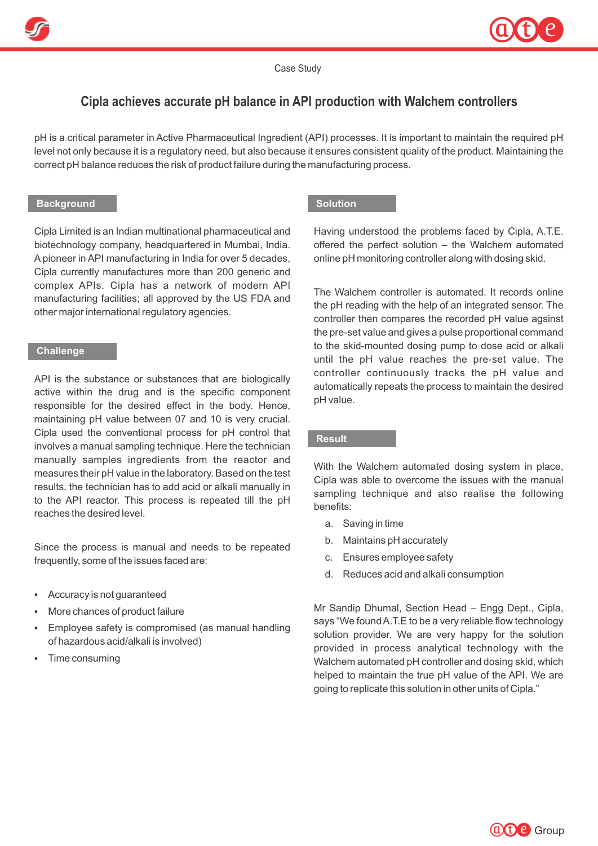



Case Study

# **Cipla achieves accurate pH balance in API production with Walchem controllers**

pH is a critical parameter in Active Pharmaceutical Ingredient (API) processes. It is important to maintain the required pH level not only because it is a regulatory need, but also because it ensures consistent quality of the product. Maintaining the correct pH balance reduces the risk of product failure during the manufacturing process.

## **Background**

Cipla Limited is an Indian multinational pharmaceutical and biotechnology company, headquartered in Mumbai, India. Apioneer in API manufacturing in India for over 5 decades, Cipla currently manufactures more than 200 generic and complex APIs. Cipla has a network of modern API manufacturing facilities; all approved by the US FDA and other major international regulatory agencies.

#### **Challenge**

API is the substance or substances that are biologically active within the drug and is the specific component responsible for the desired effect in the body. Hence, maintaining pH value between 07 and 10 is very crucial. Cipla used the conventional process for pH control that involves a manual sampling technique. Here the technician manually samples ingredients from the reactor and measures their pH value in the laboratory. Based on the test results, the technician has to add acid or alkali manually in to the API reactor. This process is repeated till the pH reaches the desired level.

Since the process is manual and needs to be repeated frequently, some of the issues faced are:

- § Accuracy is not guaranteed
- § More chances of product failure
- Employee safety is compromised (as manual handling of hazardous acid/alkali is involved)
- § Time consuming

## **Solution**

Having understood the problems faced by Cipla, A.T.E. offered the perfect solution – the Walchem automated online pH monitoring controller along with dosing skid.

The Walchem controller is automated. It records online the pH reading with the help of an integrated sensor. The controller then compares the recorded pH value agsinst the pre-set value and gives a pulse proportional command to the skid-mounted dosing pump to dose acid or alkali until the pH value reaches the pre-set value. The controller continuously tracks the pH value and automatically repeats the process to maintain the desired pH value.

# **Result**

With the Walchem automated dosing system in place, Cipla was able to overcome the issues with the manual sampling technique and also realise the following benefits:

- a. Saving in time
- b. Maintains pH accurately
- c. Ensures employee safety
- d. Reduces acid and alkali consumption

Mr Sandip Dhumal, Section Head – Engg Dept., Cipla, says "We found A.T.E to be a very reliable flow technology solution provider. We are very happy for the solution provided in process analytical technology with the Walchem automated pH controller and dosing skid, which helped to maintain the true pH value of the API. We are going to replicate this solution in other units of Cipla."